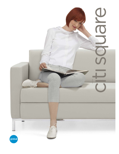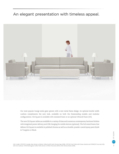## An elegant presentation with timeless appeal.



Our most popular lounge series goes uptown with a new metal frame design. An optional double width cushion compliments the new look, available on both the freestanding models and modular configurations. Citi Square is available with standard foam or an optional Ultracell foam (UC).

The new Citi Square tables are available in a variety of sizes and numerous contemporary laminate finishes with integrated power delivery and USB charging for mobile devices (optional). The full metal frame that defines Citi Square is available in polished chrome as well as a durable, powder-coated epoxy paint finish in Tungsten or Black.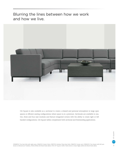Blurring the lines between how we work and how we live.



Citi Square is also available as a sectional to create a relaxed and personal atmosphere in large open spaces or efficient seating configurations where space is at a premium. Sectionals are available in one, two, three and four seat modules and feature integrated corners with the ability to create right or left handed configurations. Citi Square tables complement both sectional and freestanding applications.

S7890RFUC Two Seat Sofa with right arms, S7862FUC Corner Units, S7897FUC Armless Three Seat Sofa, S7862FUC Corner unit, S7890LFUC Two-Seater with left arm shown in Momentum Tradition, Weld (TD36) with Black finish (BLK). S7912 33" Square Coffee Table shown in Asian Night (ASN) with Black finish (BLK).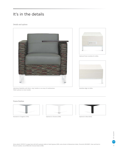# It's in the details

## Details and options





Optional Power modules for tables.



Upholstery flexibility with fabric, vinyl, leather or an array of combinations. Tablet optional on most models.

Seamless edge on tables.

### Frame finishes





Standard in Tungsten (TUN). Optional in Chrome (CHM). Optional in Black (BLK).

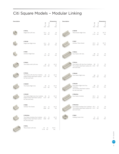# Citi Square Models – Modular Linking

| Description |                                                                                                               |                          |               | <b>Dimensions</b> | Description |                                                                                                                          |                  |                          | <b>Dimensions</b>        |
|-------------|---------------------------------------------------------------------------------------------------------------|--------------------------|---------------|-------------------|-------------|--------------------------------------------------------------------------------------------------------------------------|------------------|--------------------------|--------------------------|
|             |                                                                                                               | W<br>$\mathsf{IN}$<br>mm | D<br>IN<br>mm | н<br>IN<br>mm     |             |                                                                                                                          | W<br>IN<br>mm    | D<br>$\mathsf{IN}$<br>mm | н<br>$\mathsf{IN}$<br>mm |
|             | S7901L<br>Single Seat Left Arm.                                                                               | 25.5<br>648              | 31<br>787     | 30<br>762         |             | S7891R<br>Three Seater Right Arm.                                                                                        | 70<br>1778       | 31<br>787                | 30.75<br>781             |
|             | S7901R<br>Single Seat Right Arm.                                                                              | 25.5<br>648              | 31<br>787     | 30<br>762         |             | S7897<br>Armless Three Seater                                                                                            | 63.5<br>1613 787 | 31                       | 30.75<br>781             |
|             | S7895<br>Armless Single Seat.                                                                                 | 21<br>533                | 31<br>787     | 30<br>762         |             | S7884L<br>Four Seater Left Arm.                                                                                          | 88<br>2235       | 31<br>787                | 30<br>762                |
|             | S7890L<br>Two Seater with Left Arm.                                                                           | 48<br>1219               | 31<br>787     | 30.75<br>781      |             | S7904L<br>Four Seater Left Arm Duo Cushions.<br>Two double wide fixed cushion for 2235 787<br>seat and back.             | 88               | 31                       | 30<br>762                |
|             | S7902L<br>Two Seater Left Arm Duo Cushion.<br>Single double wide fixed cushion 1219 787<br>for seat and back. | 48                       | 31            | 30.75<br>781      |             | S7884R<br>Four Seater Right Arm.                                                                                         | 88<br>2235       | 31<br>787                | 30<br>762                |
|             | <b>S7890R</b><br>Two Seater Right Arm.                                                                        | 48<br>1219               | 31<br>787     | 30.75<br>781      |             | S7904R<br>Four Seater Right Arm Duo<br>Cushions.<br>Two double wide fixed cushion<br>for seat and back.                  | 88<br>2235       | 31<br>787                | 30<br>762                |
|             | S7902R<br>Two Seater Right Arm Duo Cushion. 48<br>Single double wide fixed cushion 1219<br>for seat and back. |                          | 31<br>787     | 30.75<br>781      |             | S7884NA<br>Four Seater Armless                                                                                           | 85.5<br>2172 787 | 31                       | 30<br>762                |
|             | S7896<br>Armless Two Seater.                                                                                  | 42.5<br>1080 787         | 31            | 30.75<br>781      |             | <b>S7904NA</b><br>Four Seater Armless Duo Cushions. 85.5<br>Two double wide fixed cushion for 2172 787<br>seat and back. |                  | 31                       | 30<br>762                |
|             | S7902NA<br>Two Seater Armless Duo Cushion. 42.5<br>Single double wide fixed cushion<br>for seat and back.     | 1080                     | 31<br>787     | 30.75<br>781      |             | S7862<br>Linking Corner Unit.                                                                                            | 37               | 37<br>940 940            | 31<br>787                |
|             | S7891L<br>Three Seater Left Arm.                                                                              | 70<br>1778 787           | 31            | 30.75<br>781      |             |                                                                                                                          |                  |                          |                          |